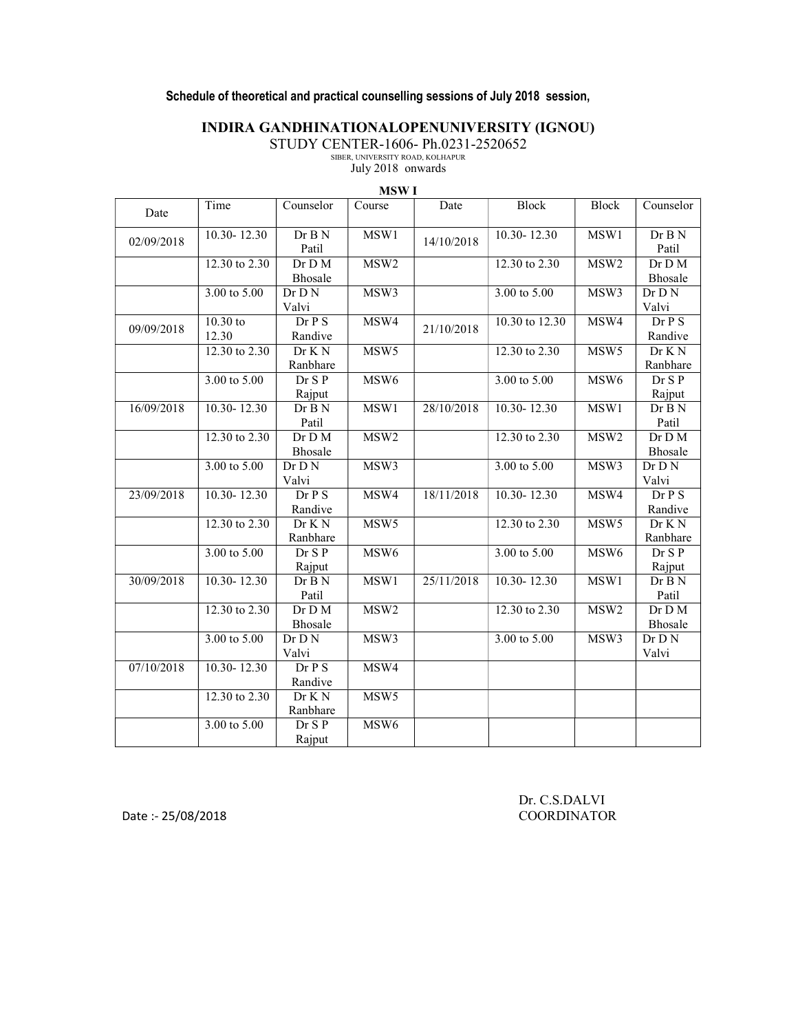# Schedule of theoretical and practical counselling sessions of July 2018 session,

## INDIRA GANDHINATIONALOPENUNIVERSITY (IGNOU)

STUDY CENTER-1606- Ph.0231-2520652

SIBER, UNIVERSITY ROAD, KOLHAPUR July 2018 onwards

#### MSW I

| Date       | Time                    | Counselor                    | Course           | Date       | Block                   | Block            | Counselor          |
|------------|-------------------------|------------------------------|------------------|------------|-------------------------|------------------|--------------------|
| 02/09/2018 | $10.30 - 12.30$         | Dr B N<br>Patil              | MSW1             | 14/10/2018 | $10.30 - 12.30$         | MSW1             | Dr B N<br>Patil    |
|            | 12.30 to 2.30           | Dr D M<br>Bhosale            | MSW <sub>2</sub> |            | 12.30 to 2.30           | MSW <sub>2</sub> | Dr D M<br>Bhosale  |
|            | $3.00 \text{ to } 5.00$ | Dr D N<br>Valvi              | MSW3             |            | $3.00 \text{ to } 5.00$ | MSW3             | Dr D N<br>Valvi    |
| 09/09/2018 | $10.30$ to<br>12.30     | Dr P S<br>Randive            | MSW4             | 21/10/2018 | 10.30 to 12.30          | MSW4             | Dr P S<br>Randive  |
|            | 12.30 to 2.30           | Dr K N<br>Ranbhare           | MSW <sub>5</sub> |            | 12.30 to 2.30           | MSW <sub>5</sub> | Dr K N<br>Ranbhare |
|            | 3.00 to 5.00            | Dr S P<br>Rajput             | MSW <sub>6</sub> |            | $3.00 \text{ to } 5.00$ | MSW <sub>6</sub> | Dr S P<br>Rajput   |
| 16/09/2018 | $10.30 - 12.30$         | Dr B N<br>Patil              | MSW1             | 28/10/2018 | $10.30 - 12.30$         | MSW1             | Dr B N<br>Patil    |
|            | 12.30 to 2.30           | Dr D M<br>Bhosale            | MSW <sub>2</sub> |            | 12.30 to 2.30           | MSW <sub>2</sub> | Dr D M<br>Bhosale  |
|            | 3.00 to 5.00            | $\overline{D}r$ D N<br>Valvi | MSW3             |            | 3.00 to 5.00            | MSW3             | Dr D N<br>Valvi    |
| 23/09/2018 | $10.30 - 12.30$         | Dr P S<br>Randive            | MSW4             | 18/11/2018 | $10.30 - 12.30$         | MSW4             | Dr P S<br>Randive  |
|            | 12.30 to 2.30           | Dr K N<br>Ranbhare           | MSW <sub>5</sub> |            | 12.30 to 2.30           | MSW <sub>5</sub> | Dr K N<br>Ranbhare |
|            | $3.00 \text{ to } 5.00$ | Dr S P<br>Rajput             | MSW <sub>6</sub> |            | $3.00 \text{ to } 5.00$ | MSW <sub>6</sub> | Dr S P<br>Rajput   |
| 30/09/2018 | $10.30 - 12.30$         | Dr B N<br>Patil              | MSW1             | 25/11/2018 | $10.30 - 12.30$         | MSW1             | DrB N<br>Patil     |
|            | 12.30 to 2.30           | Dr D M<br>Bhosale            | MSW <sub>2</sub> |            | 12.30 to 2.30           | MSW <sub>2</sub> | Dr D M<br>Bhosale  |
|            | $3.00 \text{ to } 5.00$ | Dr D N<br>Valvi              | MSW3             |            | $3.00 \text{ to } 5.00$ | MSW3             | Dr D N<br>Valvi    |
| 07/10/2018 | $10.30 - 12.30$         | Dr P S<br>Randive            | MSW4             |            |                         |                  |                    |
|            | 12.30 to 2.30           | Dr K N<br>Ranbhare           | MSW <sub>5</sub> |            |                         |                  |                    |
|            | $3.00 \text{ to } 5.00$ | Dr S P<br>Rajput             | MSW <sub>6</sub> |            |                         |                  |                    |

 Dr. C.S.DALVI Date :- 25/08/2018 COORDINATOR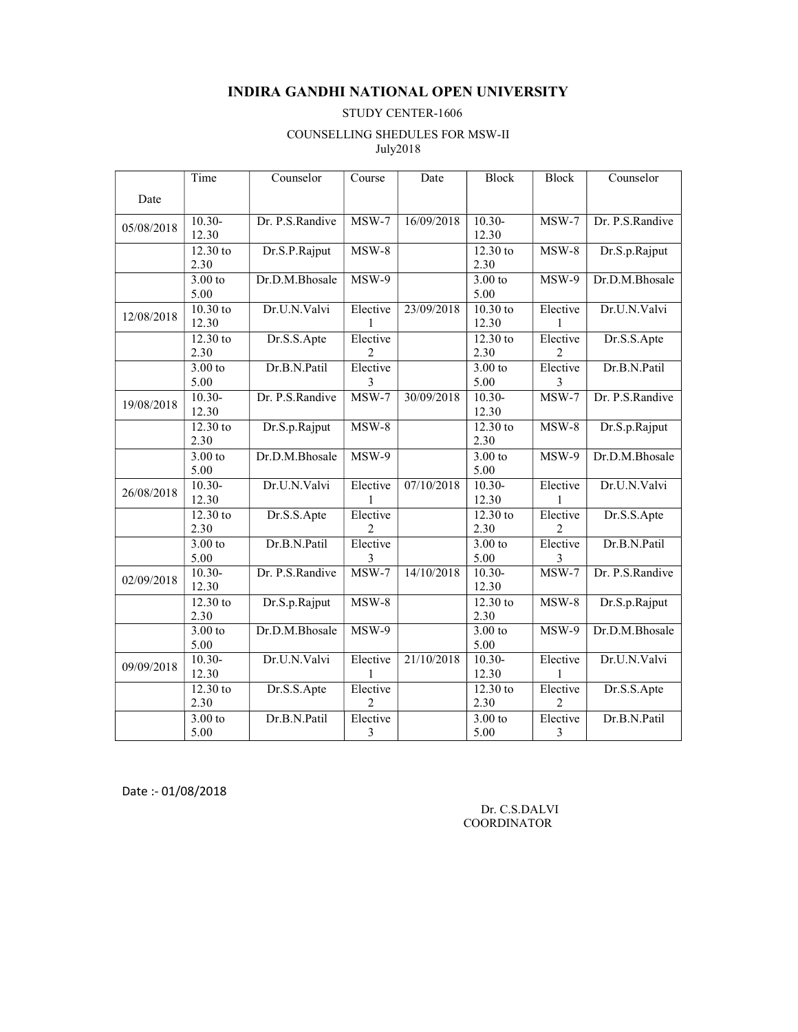#### INDIRA GANDHI NATIONAL OPEN UNIVERSITY

#### STUDY CENTER-1606

#### COUNSELLING SHEDULES FOR MSW-II July2018

|            | Time               | Counselor       | Course        | Date       | <b>Block</b>                | <b>Block</b>               | Counselor       |
|------------|--------------------|-----------------|---------------|------------|-----------------------------|----------------------------|-----------------|
| Date       |                    |                 |               |            |                             |                            |                 |
| 05/08/2018 | $10.30-$<br>12.30  | Dr. P.S.Randive | $MSW-7$       | 16/09/2018 | $10.30-$<br>12.30           | $MSW-7$                    | Dr. P.S.Randive |
|            | $12.30$ to<br>2.30 | Dr.S.P.Rajput   | $MSW-8$       |            | 12.30 to<br>2.30            | $MSW-8$                    | Dr.S.p.Rajput   |
|            | 3.00 to<br>5.00    | Dr.D.M.Bhosale  | $MSW-9$       |            | 3.00 to<br>5.00             | $MSW-9$                    | Dr.D.M.Bhosale  |
| 12/08/2018 | 10.30 to<br>12.30  | Dr.U.N.Valvi    | Elective<br>1 | 23/09/2018 | $10.30$ to<br>12.30         | Elective<br>1              | Dr.U.N.Valvi    |
|            | 12.30 to<br>2.30   | Dr.S.S.Apte     | Elective<br>2 |            | 12.30 to<br>2.30            | Elective<br>2              | Dr.S.S.Apte     |
|            | 3.00 to<br>5.00    | Dr.B.N.Patil    | Elective<br>3 |            | $3.00$ to<br>5.00           | Elective<br>3              | Dr.B.N.Patil    |
| 19/08/2018 | $10.30-$<br>12.30  | Dr. P.S.Randive | $MSW-7$       | 30/09/2018 | $10.30-$<br>12.30           | $MSW-7$                    | Dr. P.S.Randive |
|            | 12.30 to<br>2.30   | Dr.S.p.Rajput   | $MSW-8$       |            | 12.30 to<br>2.30            | $MSW-8$                    | Dr.S.p.Rajput   |
|            | 3.00 to<br>5.00    | Dr.D.M.Bhosale  | $MSW-9$       |            | $3.00$ to<br>5.00           | MSW-9                      | Dr.D.M.Bhosale  |
| 26/08/2018 | $10.30 -$<br>12.30 | Dr.U.N.Valvi    | Elective      | 07/10/2018 | $10.30-$<br>12.30           | Elective                   | Dr.U.N.Valvi    |
|            | 12.30 to<br>2.30   | Dr.S.S.Apte     | Elective<br>2 |            | 12.30 to<br>2.30            | Elective<br>2              | Dr.S.S.Apte     |
|            | 3.00 to<br>5.00    | Dr.B.N.Patil    | Elective<br>3 |            | 3.00 to<br>5.00             | Elective<br>3              | Dr.B.N.Patil    |
| 02/09/2018 | $10.30-$<br>12.30  | Dr. P.S.Randive | $MSW-7$       | 14/10/2018 | $10.\overline{30}$<br>12.30 | $MSW-7$                    | Dr. P.S.Randive |
|            | $12.30$ to<br>2.30 | Dr.S.p.Rajput   | $MSW-8$       |            | $12.30$ to<br>2.30          | $MSW-8$                    | Dr.S.p.Rajput   |
|            | $3.00$ to<br>5.00  | Dr.D.M.Bhosale  | $MSW-9$       |            | $3.00$ to<br>5.00           | $MSW-9$                    | Dr.D.M.Bhosale  |
| 09/09/2018 | $10.30-$<br>12.30  | Dr.U.N.Valvi    | Elective      | 21/10/2018 | $10.30-$<br>12.30           | Elective<br>1              | Dr.U.N.Valvi    |
|            | 12.30 to<br>2.30   | Dr.S.S.Apte     | Elective<br>2 |            | 12.30 to<br>2.30            | Elective<br>$\overline{c}$ | Dr.S.S.Apte     |
|            | 3.00 to<br>5.00    | Dr.B.N.Patil    | Elective<br>3 |            | 3.00 to<br>5.00             | Elective<br>3              | Dr.B.N.Patil    |

Date :- 01/08/2018

 Dr. C.S.DALVI COORDINATOR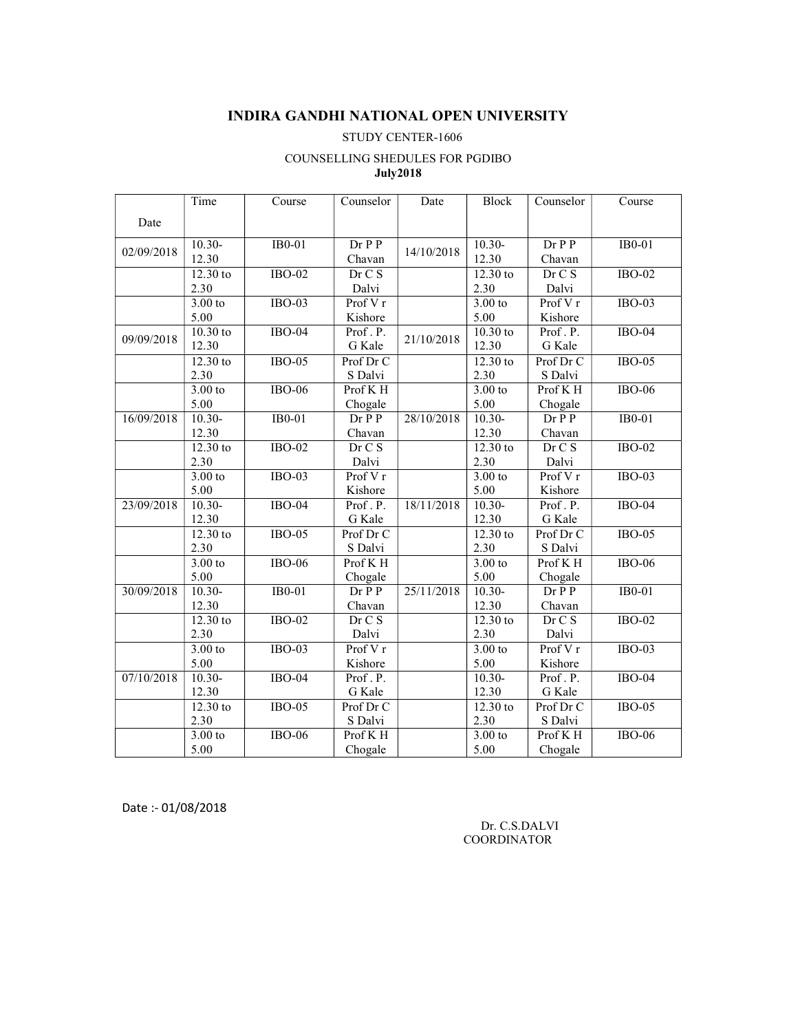# INDIRA GANDHI NATIONAL OPEN UNIVERSITY

#### STUDY CENTER-1606

#### COUNSELLING SHEDULES FOR PGDIBO July2018

|            | Time       | $\overline{\mathrm{C}}$ ourse | Counselor                      | Date       | <b>Block</b>          | Counselor                    | Course        |
|------------|------------|-------------------------------|--------------------------------|------------|-----------------------|------------------------------|---------------|
| Date       |            |                               |                                |            |                       |                              |               |
|            |            |                               |                                |            |                       |                              |               |
| 02/09/2018 | $10.30-$   | $IB0-01$                      | $Dr$ $P$ $P$                   | 14/10/2018 | $10.30-$              | $Dr$ $P$ $P$                 | $IB0-01$      |
|            | 12.30      |                               | Chavan                         |            | 12.30                 | Chavan                       |               |
|            | $12.30$ to | $IBO-02$                      | Dr C S                         |            | $\overline{12.30}$ to | Dr C S                       | $IBO-02$      |
|            | 2.30       |                               | Dalvi                          |            | 2.30                  | Dalvi                        |               |
|            | 3.00 to    | $IBO-03$                      | Prof V r                       |            | 3.00 to               | Prof $V r$                   | $IBO-03$      |
|            | 5.00       |                               | Kishore                        |            | 5.00                  | Kishore                      |               |
| 09/09/2018 | $10.30$ to | $IBO-04$                      | Prof.P.                        | 21/10/2018 | 10.30 to              | Prof.P.                      | <b>IBO-04</b> |
|            | 12.30      |                               | G Kale                         |            | 12.30                 | G Kale                       |               |
|            | 12.30 to   | $IBO-05$                      | Prof Dr C                      |            | 12.30 to              | Prof Dr C                    | $IBO-05$      |
|            | 2.30       |                               | S Dalvi                        |            | 2.30                  | S Dalvi                      |               |
|            | 3.00 to    | $IBO-06$                      | Prof K H                       |            | 3.00 to               | Prof K H                     | $IBO-06$      |
|            | 5.00       |                               | Chogale                        |            | 5.00                  | Chogale                      |               |
| 16/09/2018 | $10.30 -$  | $IB0-01$                      | $Dr$ $P$ $P$                   | 28/10/2018 | $10.30 -$             | $Dr$ $P$ $P$                 | $IB0-01$      |
|            | 12.30      |                               | Chavan                         |            | 12.30                 | Chavan                       |               |
|            | 12.30 to   | $IBO-02$                      | Dr C S                         |            | 12.30 to              | Dr C S                       | $IBO-02$      |
|            | 2.30       |                               | Dalvi                          |            | 2.30                  | Dalvi                        |               |
|            | 3.00 to    | $IBO-03$                      | Prof V r                       |            | 3.00 to               | $\overline{\text{Prof }V}$ r | $IBO-03$      |
|            | 5.00       |                               | Kishore                        |            | 5.00                  | Kishore                      |               |
| 23/09/2018 | $10.30-$   | $IBO-04$                      | Prof.P.                        | 18/11/2018 | $10.30 -$             | Prof.P.                      | $IBO-04$      |
|            | 12.30      |                               | G Kale                         |            | 12.30                 | G Kale                       |               |
|            | $12.30$ to | $IBO-05$                      | Prof Dr C                      |            | $12.30$ to            | Prof Dr C                    | $IBO-05$      |
|            | 2.30       |                               | S Dalvi                        |            | 2.30                  | S Dalvi                      |               |
|            | 3.00 to    | $IBO-06$                      | $\overline{\mathsf{Prof K H}}$ |            | 3.00 to               | Prof K H                     | $IBO-06$      |
|            | 5.00       |                               | Chogale                        |            | 5.00                  | Chogale                      |               |
| 30/09/2018 | $10.30-$   | IB0-01                        | Dr P P                         | 25/11/2018 | $10.30-$              | $Dr$ $P$ $P$                 | IB0-01        |
|            | 12.30      |                               | Chavan                         |            | 12.30                 | Chavan                       |               |
|            | $12.30$ to | $IBO-02$                      | Dr C S                         |            | $12.30$ to            | Dr C S                       | $IBO-02$      |
|            | 2.30       |                               | Dalvi                          |            | 2.30                  | Dalvi                        |               |
|            | 3.00 to    | $IBO-03$                      | Prof V r                       |            | 3.00 to               | Prof V r                     | $IBO-03$      |
|            | 5.00       |                               | Kishore                        |            | 5.00                  | Kishore                      |               |
| 07/10/2018 | $10.30-$   | $IBO-04$                      | Prof.P.                        |            | $10.30-$              | Prof.P.                      | $IBO-04$      |
|            | 12.30      |                               | G Kale                         |            | 12.30                 | G Kale                       |               |
|            | $12.30$ to | $IBO-05$                      | Prof Dr C                      |            | 12.30 to              | Prof Dr C                    | $IBO-05$      |
|            | 2.30       |                               | S Dalvi                        |            | 2.30                  | S Dalvi                      |               |
|            | 3.00 to    | $IBO-06$                      | Prof K H                       |            | 3.00 to               | Prof K H                     | $IBO-06$      |
|            | 5.00       |                               | Chogale                        |            | 5.00                  | Chogale                      |               |

Date :- 01/08/2018

 Dr. C.S.DALVI COORDINATOR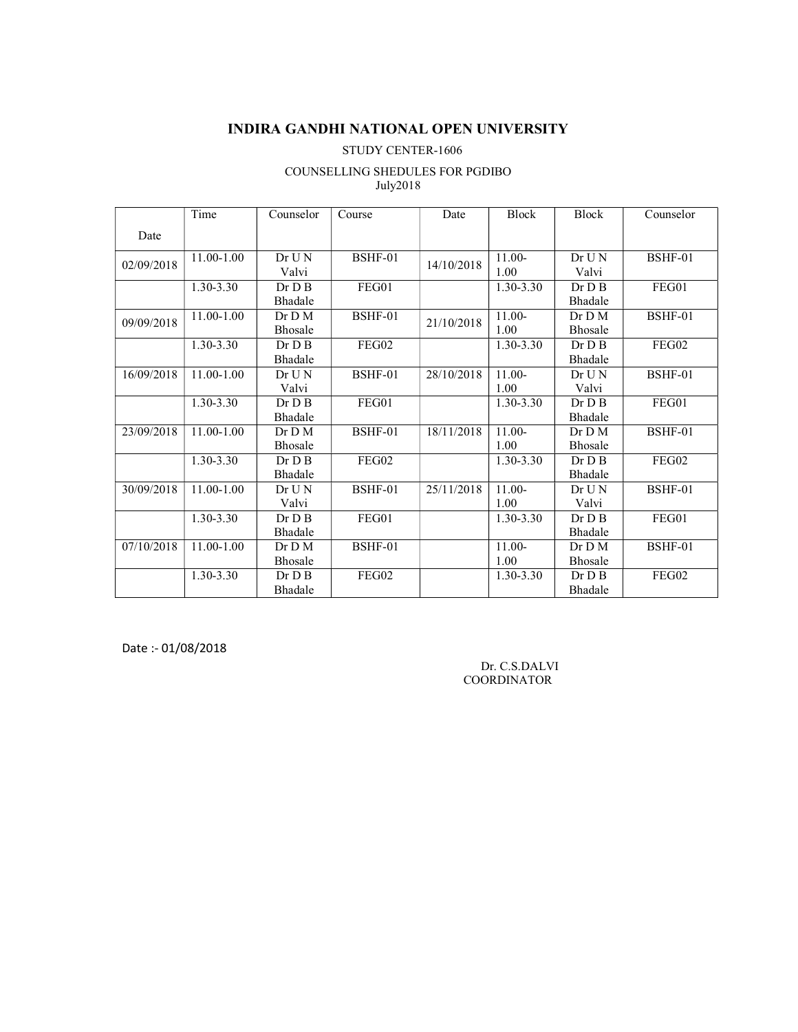## INDIRA GANDHI NATIONAL OPEN UNIVERSITY

#### STUDY CENTER-1606

#### COUNSELLING SHEDULES FOR PGDIBO July2018

|            | Time          | Counselor      | Course  | Date       | Block     | Block          | Counselor      |
|------------|---------------|----------------|---------|------------|-----------|----------------|----------------|
| Date       |               |                |         |            |           |                |                |
| 02/09/2018 | 11.00-1.00    | $Dr$ U N       | BSHF-01 | 14/10/2018 | $11.00-$  | $Dr$ U N       | BSHF-01        |
|            |               | Valvi          |         |            | 1.00      | Valvi          |                |
|            | 1.30-3.30     | Dr D B         | FEG01   |            | 1.30-3.30 | Dr D B         | FEG01          |
|            |               | Bhadale        |         |            |           | Bhadale        |                |
| 09/09/2018 | 11.00-1.00    | Dr D M         | BSHF-01 | 21/10/2018 | $11.00-$  | Dr D M         | BSHF-01        |
|            |               | <b>Bhosale</b> |         |            | 1.00      | <b>Bhosale</b> |                |
|            | 1.30-3.30     | Dr D B         | FEG02   |            | 1.30-3.30 | Dr D B         | FEG02          |
|            |               | Bhadale        |         |            |           | Bhadale        |                |
| 16/09/2018 | 11.00-1.00    | $Dr$ U N       | BSHF-01 | 28/10/2018 | 11.00-    | Dr U N         | BSHF-01        |
|            |               | Valvi          |         |            | 1.00      | Valvi          |                |
|            | 1.30-3.30     | Dr D B         | FEG01   |            | 1.30-3.30 | Dr D B         | FEG01          |
|            |               | Bhadale        |         |            |           | Bhadale        |                |
| 23/09/2018 | 11.00-1.00    | Dr D M         | BSHF-01 | 18/11/2018 | $11.00-$  | Dr D M         | BSHF-01        |
|            |               | Bhosale        |         |            | 1.00      | <b>Bhosale</b> |                |
|            | $1.30 - 3.30$ | Dr D B         | FEG02   |            | 1.30-3.30 | Dr D B         | FEG02          |
|            |               | Bhadale        |         |            |           | Bhadale        |                |
| 30/09/2018 | 11.00-1.00    | Dr U N         | BSHF-01 | 25/11/2018 | $11.00-$  | $Dr$ U N       | BSHF-01        |
|            |               | Valvi          |         |            | 1.00      | Valvi          |                |
|            | 1.30-3.30     | Dr D B         | FEG01   |            | 1.30-3.30 | Dr D B         | FEG01          |
|            |               | Bhadale        |         |            |           | Bhadale        |                |
| 07/10/2018 | 11.00-1.00    | Dr D M         | BSHF-01 |            | 11.00-    | Dr D M         | <b>BSHF-01</b> |
|            |               | Bhosale        |         |            | 1.00      | <b>Bhosale</b> |                |
|            | 1.30-3.30     | Dr D B         | FEG02   |            | 1.30-3.30 | Dr D B         | FEG02          |
|            |               | Bhadale        |         |            |           | Bhadale        |                |

Date :- 01/08/2018

 Dr. C.S.DALVI **COORDINATOR**